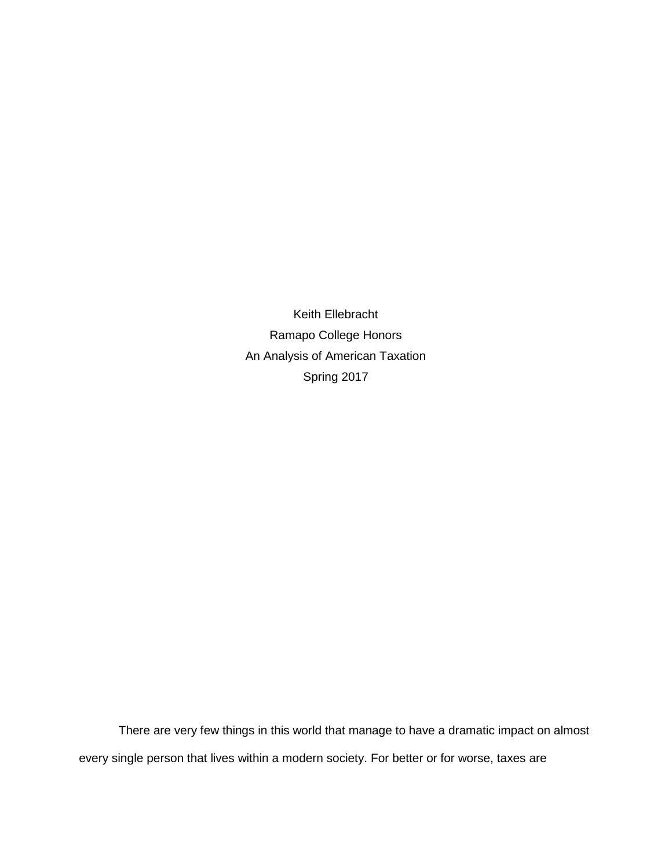Keith Ellebracht Ramapo College Honors An Analysis of American Taxation Spring 2017

There are very few things in this world that manage to have a dramatic impact on almost every single person that lives within a modern society. For better or for worse, taxes are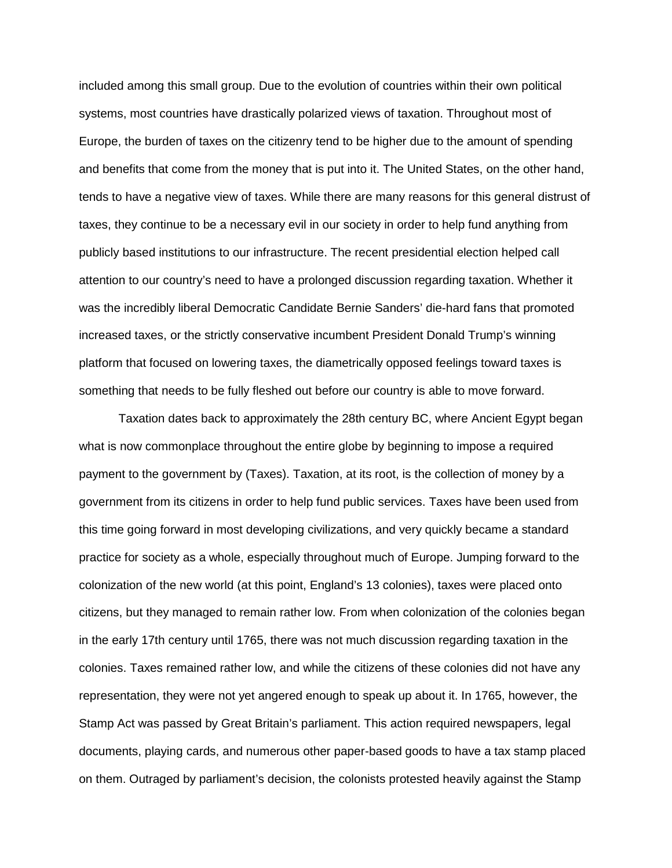included among this small group. Due to the evolution of countries within their own political systems, most countries have drastically polarized views of taxation. Throughout most of Europe, the burden of taxes on the citizenry tend to be higher due to the amount of spending and benefits that come from the money that is put into it. The United States, on the other hand, tends to have a negative view of taxes. While there are many reasons for this general distrust of taxes, they continue to be a necessary evil in our society in order to help fund anything from publicly based institutions to our infrastructure. The recent presidential election helped call attention to our country's need to have a prolonged discussion regarding taxation. Whether it was the incredibly liberal Democratic Candidate Bernie Sanders' die-hard fans that promoted increased taxes, or the strictly conservative incumbent President Donald Trump's winning platform that focused on lowering taxes, the diametrically opposed feelings toward taxes is something that needs to be fully fleshed out before our country is able to move forward.

Taxation dates back to approximately the 28th century BC, where Ancient Egypt began what is now commonplace throughout the entire globe by beginning to impose a required payment to the government by (Taxes). Taxation, at its root, is the collection of money by a government from its citizens in order to help fund public services. Taxes have been used from this time going forward in most developing civilizations, and very quickly became a standard practice for society as a whole, especially throughout much of Europe. Jumping forward to the colonization of the new world (at this point, England's 13 colonies), taxes were placed onto citizens, but they managed to remain rather low. From when colonization of the colonies began in the early 17th century until 1765, there was not much discussion regarding taxation in the colonies. Taxes remained rather low, and while the citizens of these colonies did not have any representation, they were not yet angered enough to speak up about it. In 1765, however, the Stamp Act was passed by Great Britain's parliament. This action required newspapers, legal documents, playing cards, and numerous other paper-based goods to have a tax stamp placed on them. Outraged by parliament's decision, the colonists protested heavily against the Stamp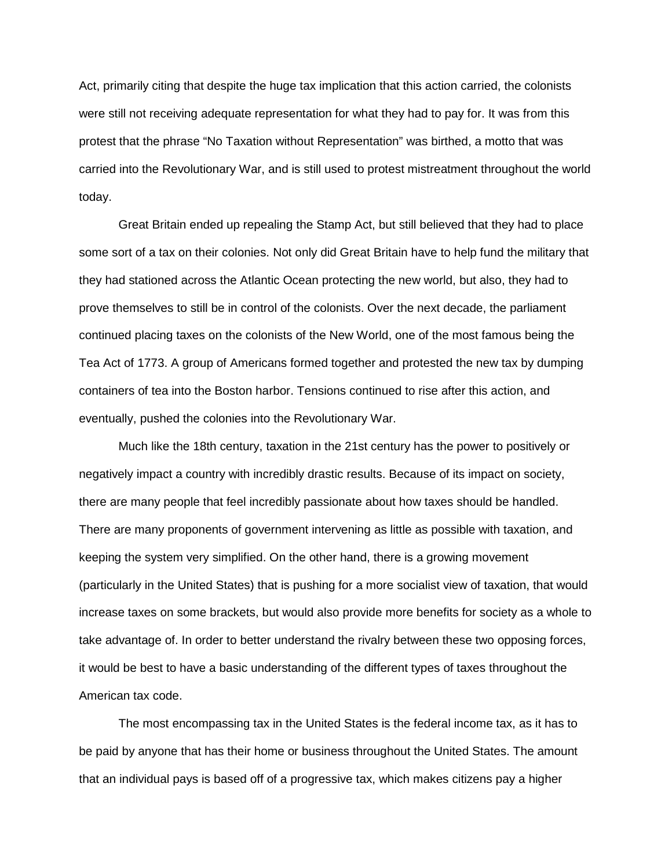Act, primarily citing that despite the huge tax implication that this action carried, the colonists were still not receiving adequate representation for what they had to pay for. It was from this protest that the phrase "No Taxation without Representation" was birthed, a motto that was carried into the Revolutionary War, and is still used to protest mistreatment throughout the world today.

Great Britain ended up repealing the Stamp Act, but still believed that they had to place some sort of a tax on their colonies. Not only did Great Britain have to help fund the military that they had stationed across the Atlantic Ocean protecting the new world, but also, they had to prove themselves to still be in control of the colonists. Over the next decade, the parliament continued placing taxes on the colonists of the New World, one of the most famous being the Tea Act of 1773. A group of Americans formed together and protested the new tax by dumping containers of tea into the Boston harbor. Tensions continued to rise after this action, and eventually, pushed the colonies into the Revolutionary War.

Much like the 18th century, taxation in the 21st century has the power to positively or negatively impact a country with incredibly drastic results. Because of its impact on society, there are many people that feel incredibly passionate about how taxes should be handled. There are many proponents of government intervening as little as possible with taxation, and keeping the system very simplified. On the other hand, there is a growing movement (particularly in the United States) that is pushing for a more socialist view of taxation, that would increase taxes on some brackets, but would also provide more benefits for society as a whole to take advantage of. In order to better understand the rivalry between these two opposing forces, it would be best to have a basic understanding of the different types of taxes throughout the American tax code.

The most encompassing tax in the United States is the federal income tax, as it has to be paid by anyone that has their home or business throughout the United States. The amount that an individual pays is based off of a progressive tax, which makes citizens pay a higher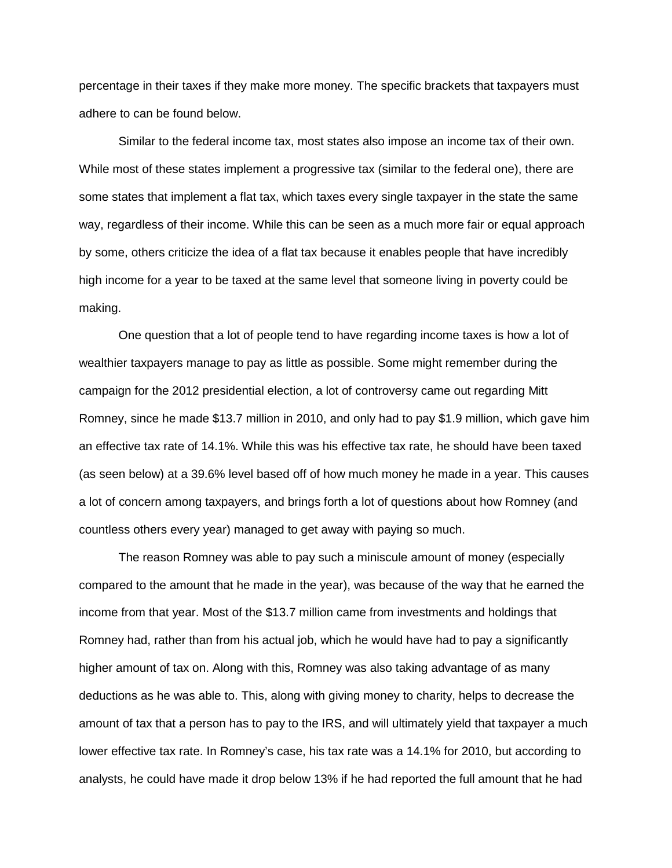percentage in their taxes if they make more money. The specific brackets that taxpayers must adhere to can be found below.

Similar to the federal income tax, most states also impose an income tax of their own. While most of these states implement a progressive tax (similar to the federal one), there are some states that implement a flat tax, which taxes every single taxpayer in the state the same way, regardless of their income. While this can be seen as a much more fair or equal approach by some, others criticize the idea of a flat tax because it enables people that have incredibly high income for a year to be taxed at the same level that someone living in poverty could be making.

One question that a lot of people tend to have regarding income taxes is how a lot of wealthier taxpayers manage to pay as little as possible. Some might remember during the campaign for the 2012 presidential election, a lot of controversy came out regarding Mitt Romney, since he made \$13.7 million in 2010, and only had to pay \$1.9 million, which gave him an effective tax rate of 14.1%. While this was his effective tax rate, he should have been taxed (as seen below) at a 39.6% level based off of how much money he made in a year. This causes a lot of concern among taxpayers, and brings forth a lot of questions about how Romney (and countless others every year) managed to get away with paying so much.

The reason Romney was able to pay such a miniscule amount of money (especially compared to the amount that he made in the year), was because of the way that he earned the income from that year. Most of the \$13.7 million came from investments and holdings that Romney had, rather than from his actual job, which he would have had to pay a significantly higher amount of tax on. Along with this, Romney was also taking advantage of as many deductions as he was able to. This, along with giving money to charity, helps to decrease the amount of tax that a person has to pay to the IRS, and will ultimately yield that taxpayer a much lower effective tax rate. In Romney's case, his tax rate was a 14.1% for 2010, but according to analysts, he could have made it drop below 13% if he had reported the full amount that he had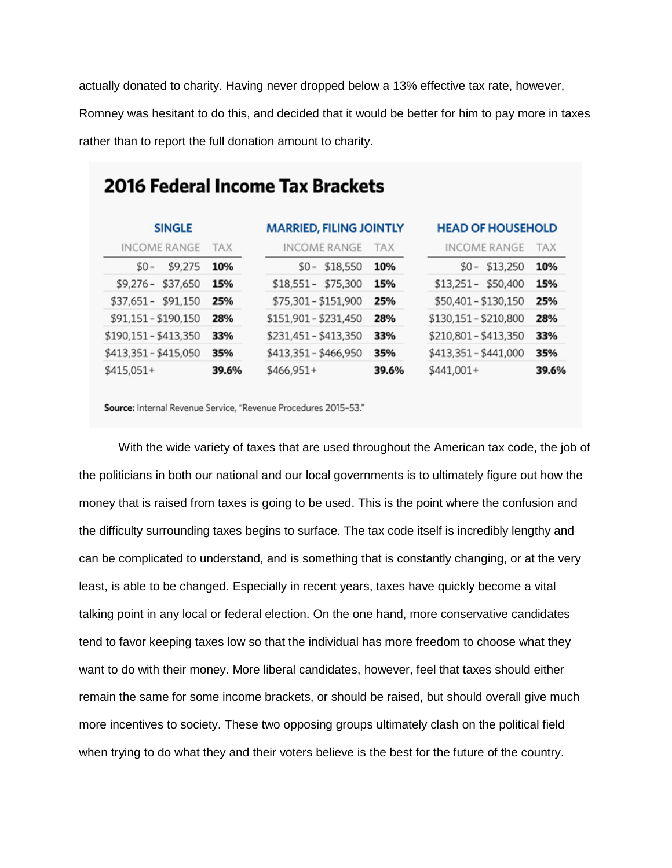actually donated to charity. Having never dropped below a 13% effective tax rate, however, Romney was hesitant to do this, and decided that it would be better for him to pay more in taxes rather than to report the full donation amount to charity.

| <b>2016 Federal Income Tax Brackets</b> |            |                                |            |                          |            |  |  |
|-----------------------------------------|------------|--------------------------------|------------|--------------------------|------------|--|--|
| <b>SINGLE</b>                           |            | <b>MARRIED, FILING JOINTLY</b> |            | <b>HEAD OF HOUSEHOLD</b> |            |  |  |
| <b>INCOME RANGE</b>                     | <b>TAX</b> | <b>INCOME RANGE</b>            | <b>TAX</b> | INCOME RANGE             | <b>TAX</b> |  |  |
| $$0 -$<br>\$9,275                       | 10%        | $$0 - $18,550$                 | 10%        | \$13,250<br>$$0-$        | 10%        |  |  |
| \$37,650<br>$$9,276-$                   | 15%        | \$18,551 - \$75,300            | 15%        | $$13,251 - $50,400$      | 15%        |  |  |
| \$37,651 - \$91,150                     | 25%        | \$75,301 - \$151,900           | 25%        | \$50,401 - \$130,150     | 25%        |  |  |
| \$91,151 - \$190,150                    | 28%        | \$151,901 - \$231,450          | 28%        | \$130,151 - \$210,800    | 28%        |  |  |
| \$190,151 - \$413,350                   | 33%        | \$231,451 - \$413,350          | 33%        | \$210,801 - \$413,350    | 33%        |  |  |
| \$413,351 - \$415,050                   | 35%        | \$413,351 - \$466,950          | 35%        | \$413,351 - \$441,000    | 35%        |  |  |
| \$415,051+                              | 39.6%      | \$466,951+                     | 39.6%      | $$441,001+$              | 39.6%      |  |  |

Source: Internal Revenue Service, "Revenue Procedures 2015-53."

With the wide variety of taxes that are used throughout the American tax code, the job of the politicians in both our national and our local governments is to ultimately figure out how the money that is raised from taxes is going to be used. This is the point where the confusion and the difficulty surrounding taxes begins to surface. The tax code itself is incredibly lengthy and can be complicated to understand, and is something that is constantly changing, or at the very least, is able to be changed. Especially in recent years, taxes have quickly become a vital talking point in any local or federal election. On the one hand, more conservative candidates tend to favor keeping taxes low so that the individual has more freedom to choose what they want to do with their money. More liberal candidates, however, feel that taxes should either remain the same for some income brackets, or should be raised, but should overall give much more incentives to society. These two opposing groups ultimately clash on the political field when trying to do what they and their voters believe is the best for the future of the country.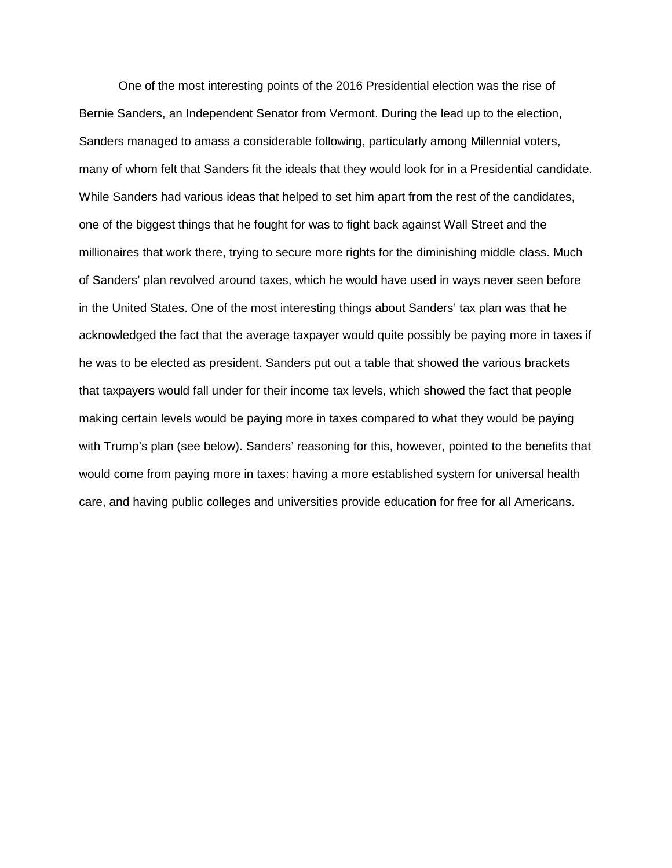One of the most interesting points of the 2016 Presidential election was the rise of Bernie Sanders, an Independent Senator from Vermont. During the lead up to the election, Sanders managed to amass a considerable following, particularly among Millennial voters, many of whom felt that Sanders fit the ideals that they would look for in a Presidential candidate. While Sanders had various ideas that helped to set him apart from the rest of the candidates, one of the biggest things that he fought for was to fight back against Wall Street and the millionaires that work there, trying to secure more rights for the diminishing middle class. Much of Sanders' plan revolved around taxes, which he would have used in ways never seen before in the United States. One of the most interesting things about Sanders' tax plan was that he acknowledged the fact that the average taxpayer would quite possibly be paying more in taxes if he was to be elected as president. Sanders put out a table that showed the various brackets that taxpayers would fall under for their income tax levels, which showed the fact that people making certain levels would be paying more in taxes compared to what they would be paying with Trump's plan (see below). Sanders' reasoning for this, however, pointed to the benefits that would come from paying more in taxes: having a more established system for universal health care, and having public colleges and universities provide education for free for all Americans.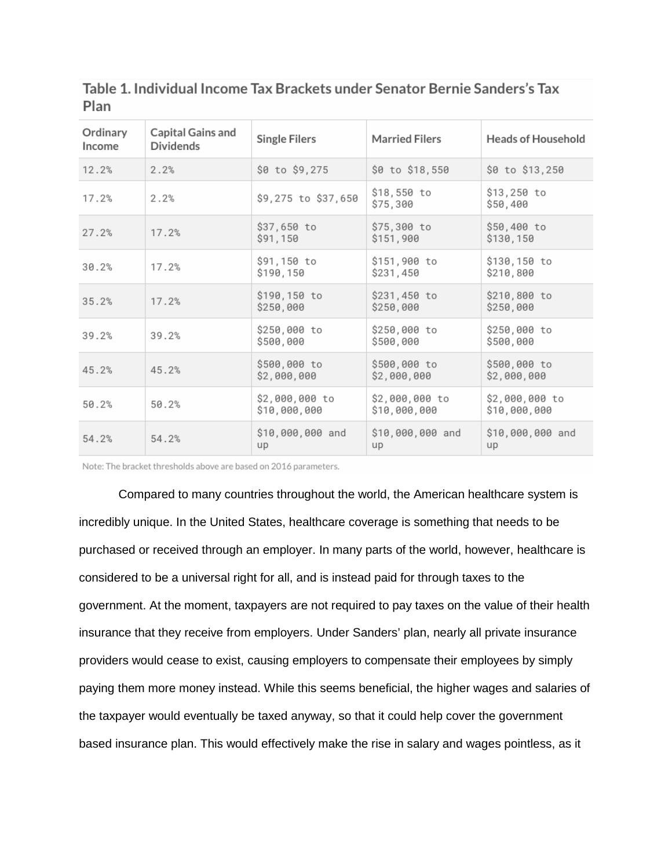| Ordinary<br>Income | Capital Gains and<br><b>Dividends</b> | <b>Single Filers</b>           | <b>Married Filers</b>          | <b>Heads of Household</b>      |
|--------------------|---------------------------------------|--------------------------------|--------------------------------|--------------------------------|
| 12.2%              | 2.2%                                  | \$0 to \$9,275                 | \$0 to \$18,550                | \$0 to \$13,250                |
| 17.2%              | 2.2%                                  | \$9,275 to \$37,650            | \$18,550 to<br>\$75,300        | \$13,250 to<br>\$50,400        |
| 27.2%              | 17.2%                                 | \$37,650 to<br>\$91,150        | \$75,300 to<br>\$151,900       | \$50,400 to<br>\$130,150       |
| 30.2%              | 17.2%                                 | \$91,150 to<br>\$190,150       | \$151,900 to<br>\$231,450      | \$130,150 to<br>\$210,800      |
| 35.2%              | 17.2%                                 | \$190,150 to<br>\$250,000      | \$231,450 to<br>\$250,000      | \$210,800 to<br>\$250,000      |
| 39.2%              | 39.2%                                 | \$250,000 to<br>\$500,000      | \$250,000 to<br>\$500,000      | \$250,000 to<br>\$500,000      |
| 45.2%              | 45.2%                                 | \$500,000 to<br>\$2,000,000    | \$500,000 to<br>\$2,000,000    | \$500,000 to<br>\$2,000,000    |
| 50.2%              | 50.2%                                 | \$2,000,000 to<br>\$10,000,000 | \$2,000,000 to<br>\$10,000,000 | \$2,000,000 to<br>\$10,000,000 |
| 54.2%              | 54.2%                                 | \$10,000,000 and<br>up         | \$10,000,000 and<br>up         | \$10,000,000 and<br>up         |

Table 1. Individual Income Tax Brackets under Senator Bernie Sanders's Tax Plan

Note: The bracket thresholds above are based on 2016 parameters.

Compared to many countries throughout the world, the American healthcare system is incredibly unique. In the United States, healthcare coverage is something that needs to be purchased or received through an employer. In many parts of the world, however, healthcare is considered to be a universal right for all, and is instead paid for through taxes to the government. At the moment, taxpayers are not required to pay taxes on the value of their health insurance that they receive from employers. Under Sanders' plan, nearly all private insurance providers would cease to exist, causing employers to compensate their employees by simply paying them more money instead. While this seems beneficial, the higher wages and salaries of the taxpayer would eventually be taxed anyway, so that it could help cover the government based insurance plan. This would effectively make the rise in salary and wages pointless, as it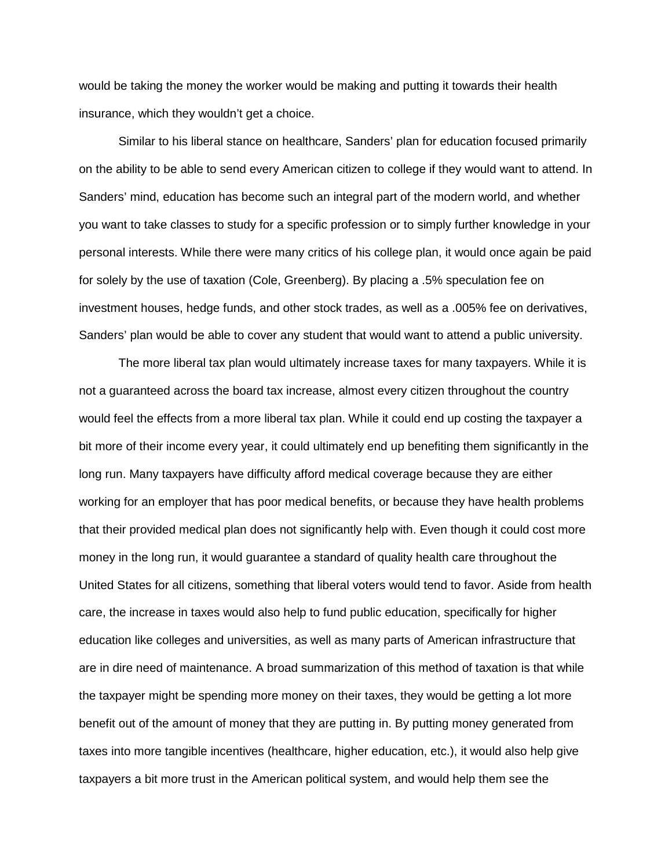would be taking the money the worker would be making and putting it towards their health insurance, which they wouldn't get a choice.

Similar to his liberal stance on healthcare, Sanders' plan for education focused primarily on the ability to be able to send every American citizen to college if they would want to attend. In Sanders' mind, education has become such an integral part of the modern world, and whether you want to take classes to study for a specific profession or to simply further knowledge in your personal interests. While there were many critics of his college plan, it would once again be paid for solely by the use of taxation (Cole, Greenberg). By placing a .5% speculation fee on investment houses, hedge funds, and other stock trades, as well as a .005% fee on derivatives, Sanders' plan would be able to cover any student that would want to attend a public university.

The more liberal tax plan would ultimately increase taxes for many taxpayers. While it is not a guaranteed across the board tax increase, almost every citizen throughout the country would feel the effects from a more liberal tax plan. While it could end up costing the taxpayer a bit more of their income every year, it could ultimately end up benefiting them significantly in the long run. Many taxpayers have difficulty afford medical coverage because they are either working for an employer that has poor medical benefits, or because they have health problems that their provided medical plan does not significantly help with. Even though it could cost more money in the long run, it would guarantee a standard of quality health care throughout the United States for all citizens, something that liberal voters would tend to favor. Aside from health care, the increase in taxes would also help to fund public education, specifically for higher education like colleges and universities, as well as many parts of American infrastructure that are in dire need of maintenance. A broad summarization of this method of taxation is that while the taxpayer might be spending more money on their taxes, they would be getting a lot more benefit out of the amount of money that they are putting in. By putting money generated from taxes into more tangible incentives (healthcare, higher education, etc.), it would also help give taxpayers a bit more trust in the American political system, and would help them see the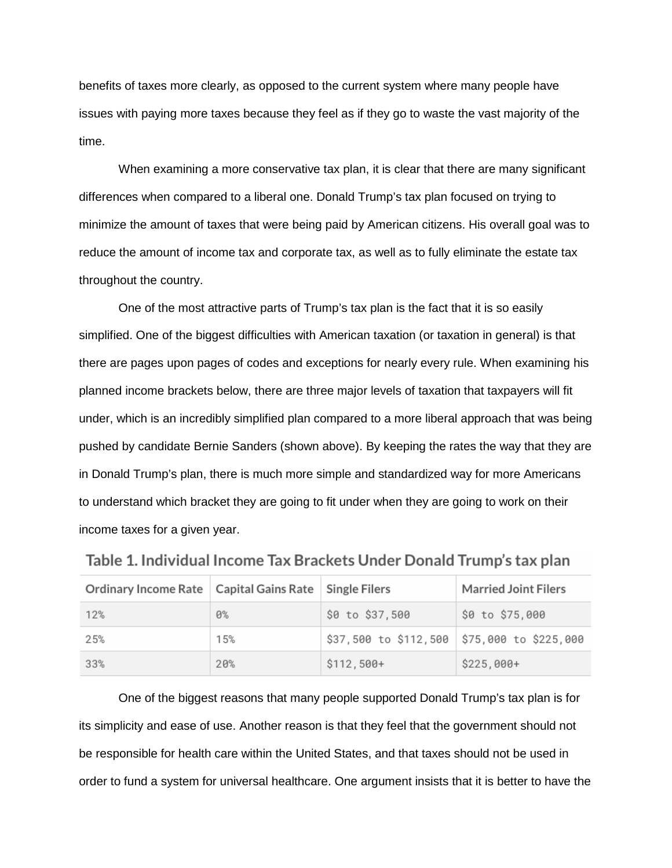benefits of taxes more clearly, as opposed to the current system where many people have issues with paying more taxes because they feel as if they go to waste the vast majority of the time.

When examining a more conservative tax plan, it is clear that there are many significant differences when compared to a liberal one. Donald Trump's tax plan focused on trying to minimize the amount of taxes that were being paid by American citizens. His overall goal was to reduce the amount of income tax and corporate tax, as well as to fully eliminate the estate tax throughout the country.

One of the most attractive parts of Trump's tax plan is the fact that it is so easily simplified. One of the biggest difficulties with American taxation (or taxation in general) is that there are pages upon pages of codes and exceptions for nearly every rule. When examining his planned income brackets below, there are three major levels of taxation that taxpayers will fit under, which is an incredibly simplified plan compared to a more liberal approach that was being pushed by candidate Bernie Sanders (shown above). By keeping the rates the way that they are in Donald Trump's plan, there is much more simple and standardized way for more Americans to understand which bracket they are going to fit under when they are going to work on their income taxes for a given year.

| Ordinary Income Rate   Capital Gains Rate   Single Filers |       |                                             | <b>Married Joint Filers</b> |
|-----------------------------------------------------------|-------|---------------------------------------------|-----------------------------|
| 12%                                                       | $0\%$ | \$0 to \$37,500                             | \$0 to \$75,000             |
| 25%                                                       | 15%   | \$37,500 to \$112,500 \$75,000 to \$225,000 |                             |
| 33%                                                       | 20%   | $$112,500+$                                 | $$225,000+$                 |

| Table 1. Individual Income Tax Brackets Under Donald Trump's tax plan |  |  |  |
|-----------------------------------------------------------------------|--|--|--|
|-----------------------------------------------------------------------|--|--|--|

One of the biggest reasons that many people supported Donald Trump's tax plan is for its simplicity and ease of use. Another reason is that they feel that the government should not be responsible for health care within the United States, and that taxes should not be used in order to fund a system for universal healthcare. One argument insists that it is better to have the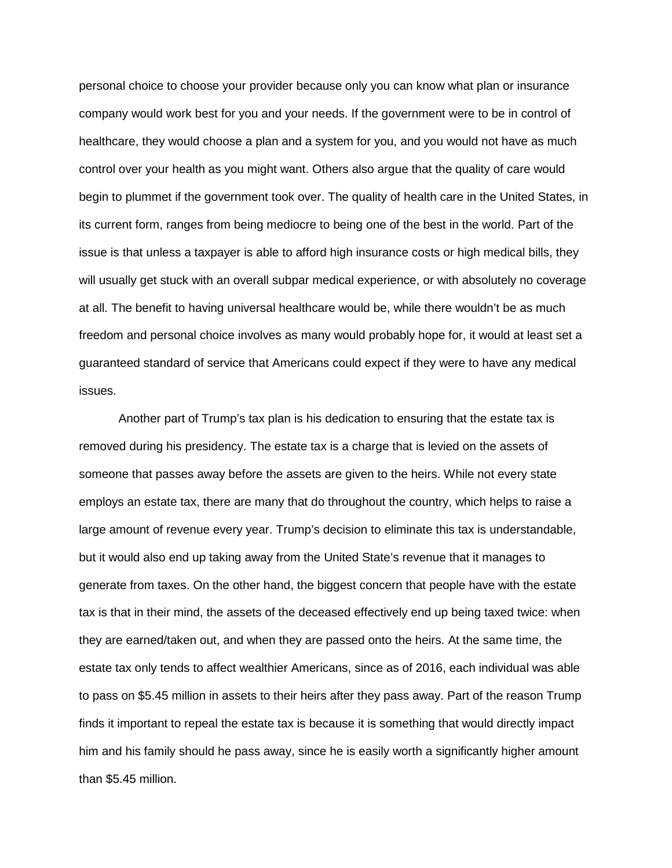personal choice to choose your provider because only you can know what plan or insurance company would work best for you and your needs. If the government were to be in control of healthcare, they would choose a plan and a system for you, and you would not have as much control over your health as you might want. Others also argue that the quality of care would begin to plummet if the government took over. The quality of health care in the United States, in its current form, ranges from being mediocre to being one of the best in the world. Part of the issue is that unless a taxpayer is able to afford high insurance costs or high medical bills, they will usually get stuck with an overall subpar medical experience, or with absolutely no coverage at all. The benefit to having universal healthcare would be, while there wouldn't be as much freedom and personal choice involves as many would probably hope for, it would at least set a guaranteed standard of service that Americans could expect if they were to have any medical issues.

Another part of Trump's tax plan is his dedication to ensuring that the estate tax is removed during his presidency. The estate tax is a charge that is levied on the assets of someone that passes away before the assets are given to the heirs. While not every state employs an estate tax, there are many that do throughout the country, which helps to raise a large amount of revenue every year. Trump's decision to eliminate this tax is understandable, but it would also end up taking away from the United State's revenue that it manages to generate from taxes. On the other hand, the biggest concern that people have with the estate tax is that in their mind, the assets of the deceased effectively end up being taxed twice: when they are earned/taken out, and when they are passed onto the heirs. At the same time, the estate tax only tends to affect wealthier Americans, since as of 2016, each individual was able to pass on \$5.45 million in assets to their heirs after they pass away. Part of the reason Trump finds it important to repeal the estate tax is because it is something that would directly impact him and his family should he pass away, since he is easily worth a significantly higher amount than \$5.45 million.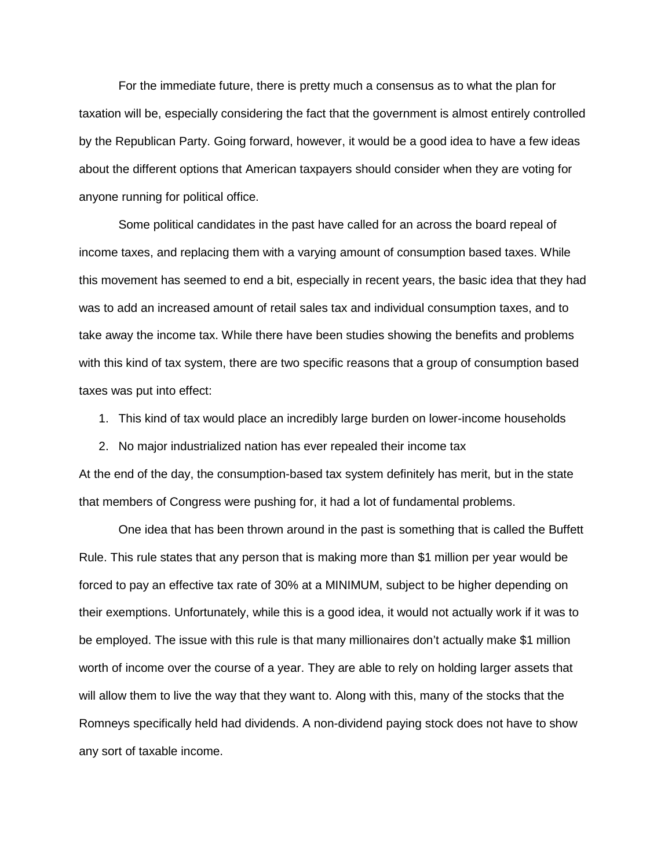For the immediate future, there is pretty much a consensus as to what the plan for taxation will be, especially considering the fact that the government is almost entirely controlled by the Republican Party. Going forward, however, it would be a good idea to have a few ideas about the different options that American taxpayers should consider when they are voting for anyone running for political office.

Some political candidates in the past have called for an across the board repeal of income taxes, and replacing them with a varying amount of consumption based taxes. While this movement has seemed to end a bit, especially in recent years, the basic idea that they had was to add an increased amount of retail sales tax and individual consumption taxes, and to take away the income tax. While there have been studies showing the benefits and problems with this kind of tax system, there are two specific reasons that a group of consumption based taxes was put into effect:

- 1. This kind of tax would place an incredibly large burden on lower-income households
- 2. No major industrialized nation has ever repealed their income tax

At the end of the day, the consumption-based tax system definitely has merit, but in the state that members of Congress were pushing for, it had a lot of fundamental problems.

One idea that has been thrown around in the past is something that is called the Buffett Rule. This rule states that any person that is making more than \$1 million per year would be forced to pay an effective tax rate of 30% at a MINIMUM, subject to be higher depending on their exemptions. Unfortunately, while this is a good idea, it would not actually work if it was to be employed. The issue with this rule is that many millionaires don't actually make \$1 million worth of income over the course of a year. They are able to rely on holding larger assets that will allow them to live the way that they want to. Along with this, many of the stocks that the Romneys specifically held had dividends. A non-dividend paying stock does not have to show any sort of taxable income.